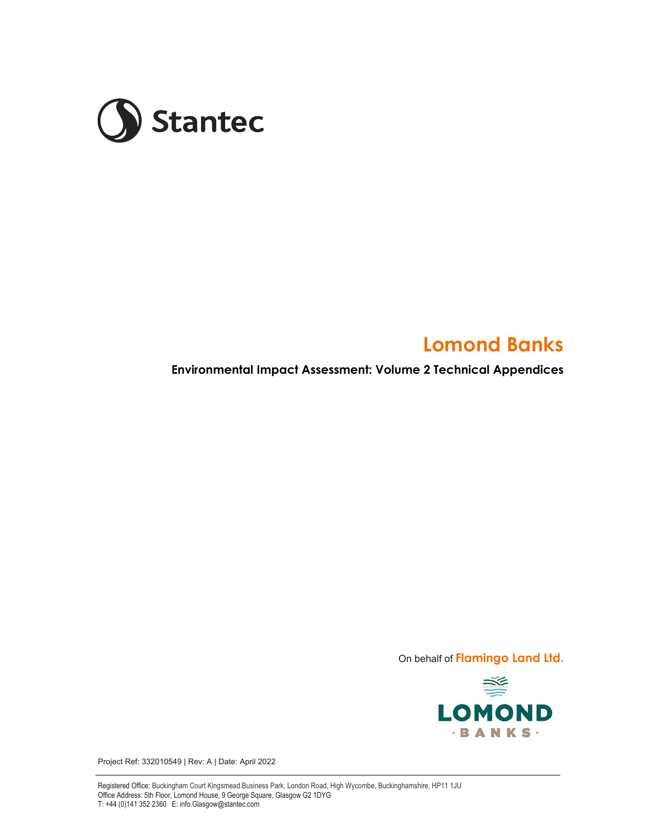

# **Lomond Banks**

**Environmental Impact Assessment: Volume 2 Technical Appendices** 

On behalf of **Flamingo Land Ltd.** 



Project Ref: 332010549 | Rev: A | Date: April 2022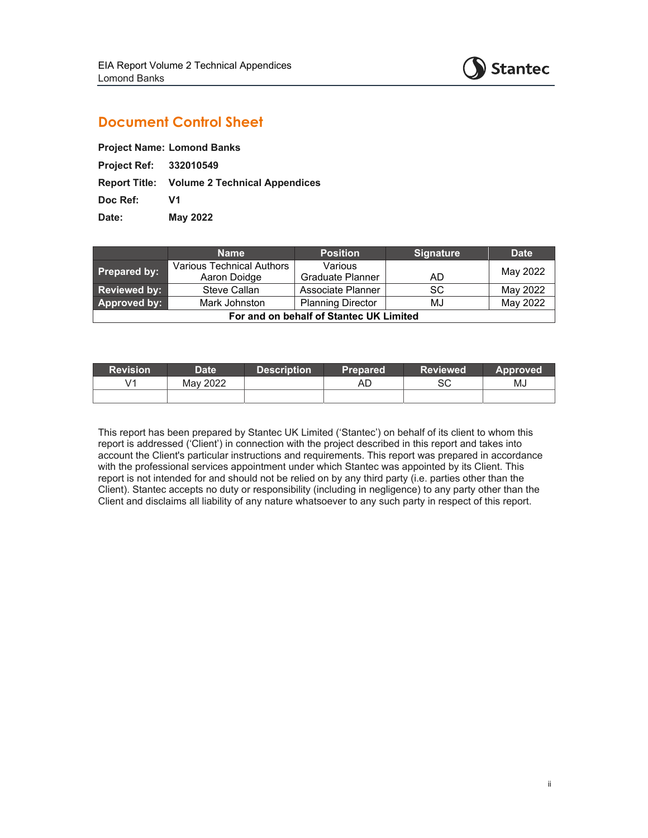

# **Document Control Sheet**

**Project Ref: 332010549** 

**Report Title: Volume 2 Technical Appendices** 

**Doc Ref: V1** 

**Date: May 2022** 

|                                         | <b>Name</b>               | <b>Position</b>          | <b>Signature</b> | <b>Date</b> |  |  |  |
|-----------------------------------------|---------------------------|--------------------------|------------------|-------------|--|--|--|
| <b>Prepared by:</b>                     | Various Technical Authors | Various                  |                  | May 2022    |  |  |  |
|                                         | Aaron Doidge              | <b>Graduate Planner</b>  | AD               |             |  |  |  |
| Reviewed by:                            | Steve Callan              | Associate Planner        | <b>SC</b>        | May 2022    |  |  |  |
| Approved by:                            | Mark Johnston             | <b>Planning Director</b> | MJ               | May 2022    |  |  |  |
| For and on behalf of Stantec UK Limited |                           |                          |                  |             |  |  |  |

| <b>Revision</b> | <b>Date</b> | <b>Description</b> | <b>Prepared</b> | <b>Reviewed</b> | <b>Approved</b> |
|-----------------|-------------|--------------------|-----------------|-----------------|-----------------|
| V1              | May 2022    |                    | AD              | SC              | MJ              |
|                 |             |                    |                 |                 |                 |

This report has been prepared by Stantec UK Limited ('Stantec') on behalf of its client to whom this report is addressed ('Client') in connection with the project described in this report and takes into account the Client's particular instructions and requirements. This report was prepared in accordance with the professional services appointment under which Stantec was appointed by its Client. This report is not intended for and should not be relied on by any third party (i.e. parties other than the Client). Stantec accepts no duty or responsibility (including in negligence) to any party other than the Client and disclaims all liability of any nature whatsoever to any such party in respect of this report.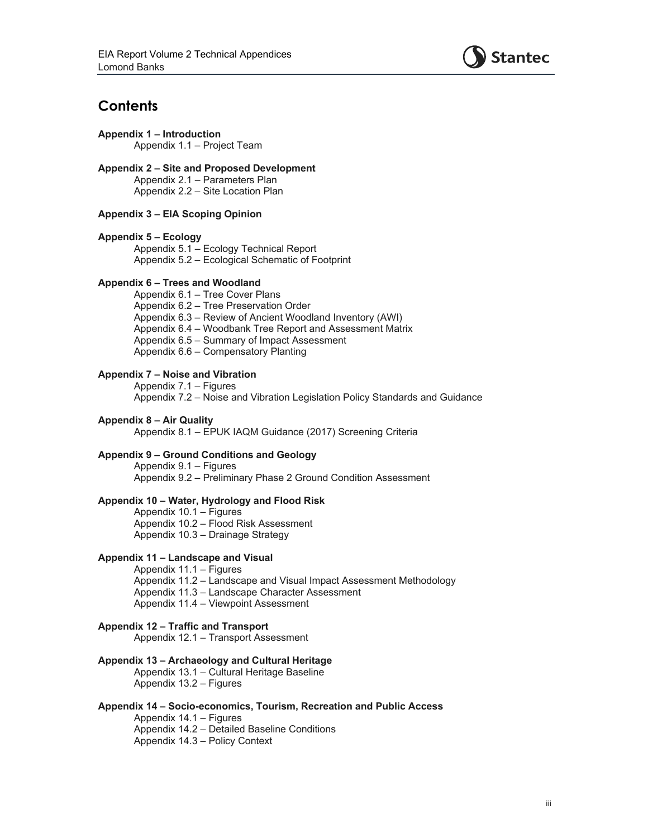

# **Contents**

**Appendix 1 – Introduction**  Appendix 1.1 – Project Team

**Appendix 2 – Site and Proposed Development**  Appendix 2.1 – Parameters Plan Appendix 2.2 – Site Location Plan

# **Appendix 3 – EIA Scoping Opinion**

#### **Appendix 5 – Ecology**

Appendix 5.1 – Ecology Technical Report Appendix 5.2 – Ecological Schematic of Footprint

## **Appendix 6 – Trees and Woodland**

Appendix 6.1 – Tree Cover Plans Appendix 6.2 – Tree Preservation Order Appendix 6.3 – Review of Ancient Woodland Inventory (AWI) Appendix 6.4 – Woodbank Tree Report and Assessment Matrix Appendix 6.5 – Summary of Impact Assessment Appendix 6.6 – Compensatory Planting

# **Appendix 7 – Noise and Vibration**

Appendix 7.1 – Figures Appendix 7.2 – Noise and Vibration Legislation Policy Standards and Guidance

#### **Appendix 8 – Air Quality**

Appendix 8.1 – EPUK IAQM Guidance (2017) Screening Criteria

#### **Appendix 9 – Ground Conditions and Geology**

 Appendix 9.1 – Figures Appendix 9.2 – Preliminary Phase 2 Ground Condition Assessment

## **Appendix 10 – Water, Hydrology and Flood Risk**

Appendix 10.1 – Figures Appendix 10.2 – Flood Risk Assessment Appendix 10.3 – Drainage Strategy

#### **Appendix 11 – Landscape and Visual**

Appendix 11.1 – Figures Appendix 11.2 – Landscape and Visual Impact Assessment Methodology Appendix 11.3 – Landscape Character Assessment

# Appendix 11.4 – Viewpoint Assessment

# **Appendix 12 – Traffic and Transport**

Appendix 12.1 – Transport Assessment

# **Appendix 13 – Archaeology and Cultural Heritage**

Appendix 13.1 – Cultural Heritage Baseline Appendix 13.2 – Figures

#### **Appendix 14 – Socio-economics, Tourism, Recreation and Public Access**

Appendix 14.1 – Figures Appendix 14.2 – Detailed Baseline Conditions Appendix 14.3 – Policy Context